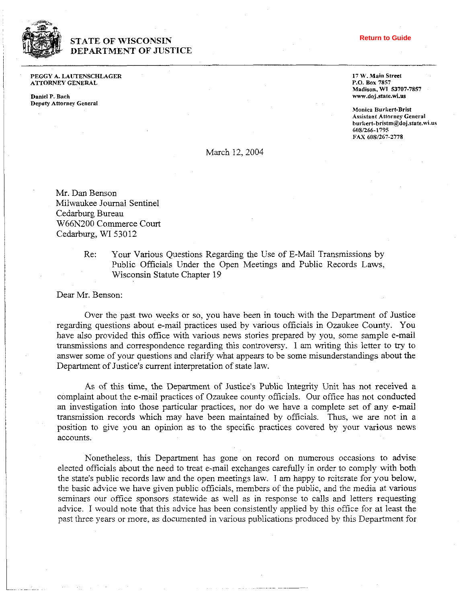

## **STATE OF WISCONSIN DEPARTMENT OF JUSTICE**

PEGGY A. LAUTENSCHLAGER ATTORNEY GENERAL

**Daniel** P. **Bach Deputy** Attorney General

## **Return to Guide**

**17 W. Main** Street **P.O. Box 7857 Madison. W1 53707-7857** 

**Monica Rurkert-Brist Assistant Attorney** General **hul-licrt-hristm@doj.state.wi.us 608/266-1795**  FAX **6081267-2778** 

## March 12, 2004

Mr. **Dan** Benson Milwaukee Journal Sentinel Cedarburg Bureau W66N200 Commerce Court Cedarburg, WI 53012

> Re: Your Various Questions Regarding the Use of E-Mail Transmissions by Public Officials Under the Open Meetings and Public Records Laws, Wisconsin Statute Chapter 19

Dear Mr. Benson:

Over the past two weeks or so, you have been in touch with the Department of Justice regarding questions about e-mail practices used by various officials in Ozaukee County. You have also provided this office with various news stories prepared by you, some sample e-mail transmissions and correspondence regarding this controversy. I am writing this letter to try to answer some of your questions and clarify what appears to be some misunderstandings about the Department of Justice's current interpretation of state law.

As of this time, the Department of Justice's Public Integrity Unit has not received a complaint about the e-mail practices of Ozaukee county officials. Our office has not conducted **an** investigation into those particular practices, nor do we have a complete set of any e-mail transmission records which may have been maintained by officials. Thus, we are not in a position to give you an opinion as to the specific practices covered by your various news accounts.

Nonetheless, this Department has gone on record on numerous occasions to advise elected officials about the need to treat e-mail exchanges carefully in order to comply with both the state's public records law and the open meetings law. I am happy to rciterate for you below, the basic advice we have given public officials, members of the public, and the media at various seminars our office sponsors statewide as well as in response to calls and letters requesting advice. I would note that this advice has been consistently applied by this office for at least the past three years or more. as documented in various publications produced by this Department for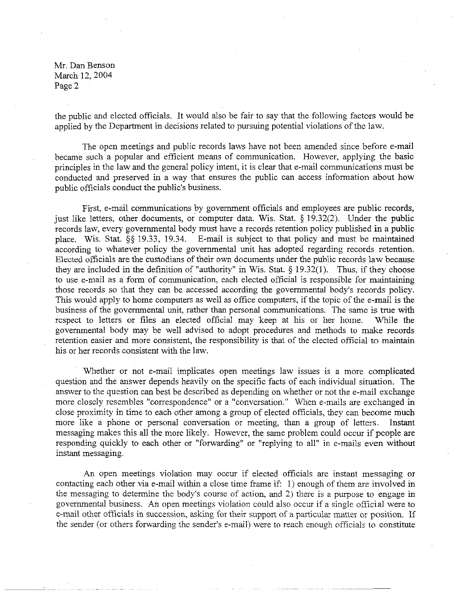Mr. Dan Benson March 12,2004 Page 2

the public and elected officials. It would also be fair to say that the following factors would be applied by the Department in decisions related to pursuing potential violations of the law.

The open meetings and public records laws have not been amended since before e-mail became such a popular and efficient means of communication. However, applying the basic principles in the law and the general policy intent, it is clear that e-mail communications must be conducted and preserved in a way that ensures the public can access information about how public officials conduct the public's business.

First, e-mail communications by government officials and employees are public records, just like letters, other documents, or computer data. Wis. Stat. *5* 19.32(2). Under the public records law, every governmental body must have a records retention policy published in a public place. Wis. Stat. *5s* 19.33, 19.34. E-mail is subject to that policy and must be maintained according to whatever policy the governmental unit has adopted regarding records retention. Elected officials are the custodians of their own documents under the public records law because they are included in the definition of "authority" in Wis. Stat.  $\S$  19.32(1). Thus, if they choose to use e-mail as a form of communication, each elected official is responsible for maintaining those records so that they can be accessed according the governmental body's records policy. This would apply to home computers as well as office computers, if the topic of the e-mail is the business of the governmental unit, rather than personal communications. The same is true with rcspect to letters or files an elected official may keep at his or her home. While the governmental body may be well advised to adopt procedures and methods to make records retention easier and more consistent, the responsibility is that of the elected official to maintain his or her records consistent with the law.

Whether or not e-mail implicates open meetings law issues is a more complicated question and the answer depends heavily on the specific facts of each individual situation. The answer to the question can best be described as depending on whether or not the e-mail exchange more closely resembles "correspondence" or a "conversation." When e-mails are exchanged in close proximity in time to each other among a group of elected officials, they can become much more like a phone or personal conversation or meeting, than a group of letters. Instant messaging makes this all the more likely. However, the same problem could occur if people are responding quickly to each other or "forwarding" or "replying to all" in e-mails even without instant messaging.

An open meetings violation may occur if elected officials are instant messaging or contacting each other via e-mail within a close time frame if: 1) enough of them are involved in the messaging to determine the body's course of action, and 2) there is a purpose to engage in governmental business. An open meetings violation could also occur if a single official were to e-mail other officials in succession, asking for their support of a particular matter or position. If the sender (or others forwarding the sender's e-mail) were to reach enough officials to constitute